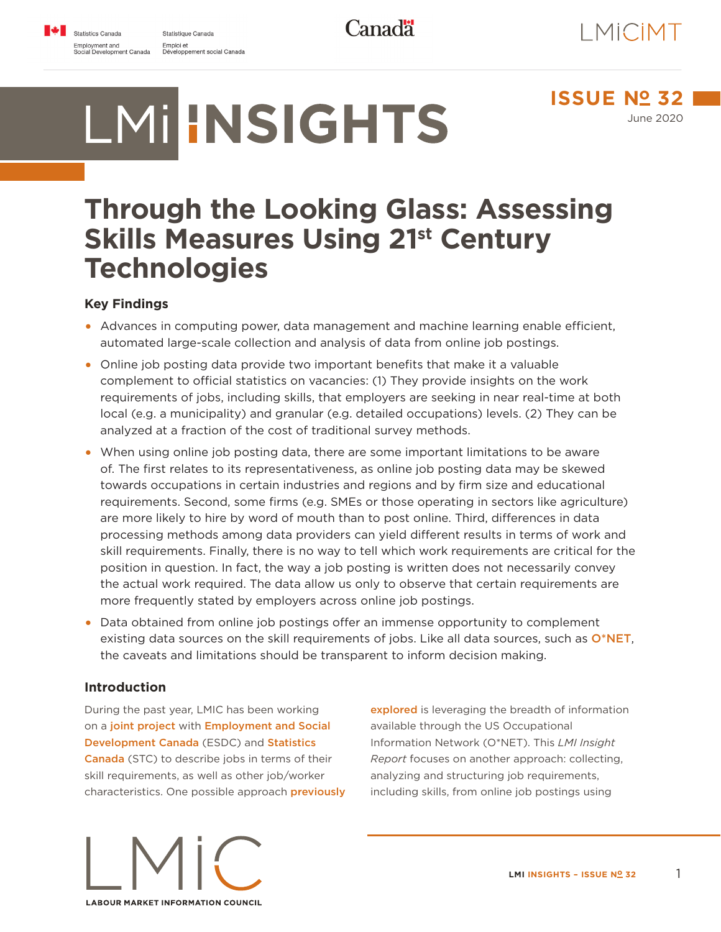Statistique Canada Emploi et<br>Développement social Canada

LMIHNSIGHTS

**Canadä** 



**ISSUE Nº 32** June 2020

# **Through the Looking Glass: Assessing Skills Measures Using 21st Century Technologies**

# **Key Findings**

- **•** Advances in computing power, data management and machine learning enable efficient, automated large-scale collection and analysis of data from online job postings.
- **•** Online job posting data provide two important benefits that make it a valuable complement to official statistics on vacancies: (1) They provide insights on the work requirements of jobs, including skills, that employers are seeking in near real-time at both local (e.g. a municipality) and granular (e.g. detailed occupations) levels. (2) They can be analyzed at a fraction of the cost of traditional survey methods.
- **•** When using online job posting data, there are some important limitations to be aware of. The first relates to its representativeness, as online job posting data may be skewed towards occupations in certain industries and regions and by firm size and educational requirements. Second, some firms (e.g. SMEs or those operating in sectors like agriculture) are more likely to hire by word of mouth than to post online. Third, differences in data processing methods among data providers can yield different results in terms of work and skill requirements. Finally, there is no way to tell which work requirements are critical for the position in question. In fact, the way a job posting is written does not necessarily convey the actual work required. The data allow us only to observe that certain requirements are more frequently stated by employers across online job postings.
- **•** Data obtained from online job postings offer an immense opportunity to complement existing data sources on the skill requirements of jobs. Like all data sources, such as [O\\*NET](https://lmic-cimt.ca/lmi-insight-report-no-31/), the caveats and limitations should be transparent to inform decision making.

### **Introduction**

During the past year, LMIC has been working on a [joint project](https://lmic-cimt.ca/lmi-insights-report-no-16-bridging-the-gap-between-skills-and-occupations-a-concept-note-to-identify-the-skills-associated-with-noc/) with [Employment and Social](https://www.canada.ca/en/employment-social-development.html)  [Development Canada](https://www.canada.ca/en/employment-social-development.html) (ESDC) and [Statistics](https://www.statcan.gc.ca/eng/start)  [Canada](https://www.statcan.gc.ca/eng/start) (STC) to describe jobs in terms of their skill requirements, as well as other job/worker characteristics. One possible approach [previously](https://lmic-cimt.ca/lmi-insight-report-no-31/)  [explored](https://lmic-cimt.ca/lmi-insight-report-no-31/) is leveraging the breadth of information available through the US Occupational Information Network (O\*NET). This *LMI Insight Report* focuses on another approach: collecting, analyzing and structuring job requirements, including skills, from online job postings using



**LMI INSIGHTS – ISSUE Nº 32** 1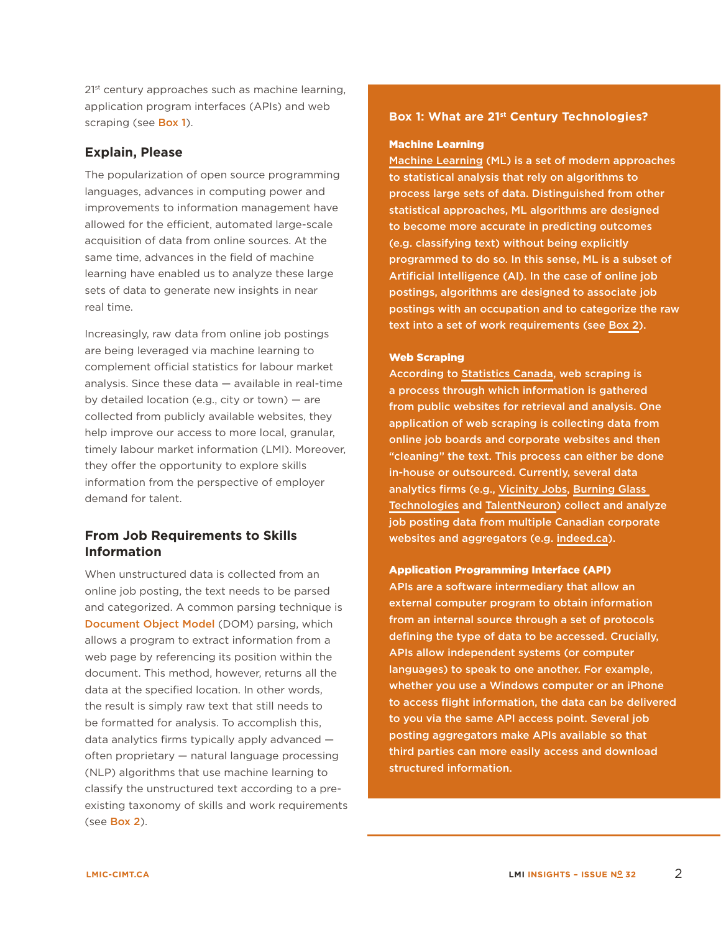2<sup>1st</sup> century approaches such as machine learning, application program interfaces (APIs) and web scraping (see **[Box 1](#page-1-0)**).

## **Explain, Please**

The popularization of open source programming languages, advances in computing power and improvements to information management have allowed for the efficient, automated large-scale acquisition of data from online sources. At the same time, advances in the field of machine learning have enabled us to analyze these large sets of data to generate new insights in near real time.

Increasingly, raw data from online job postings are being leveraged via machine learning to complement official statistics for labour market analysis. Since these data — available in real-time by detailed location (e.g., city or town) — are collected from publicly available websites, they help improve our access to more local, granular, timely labour market information (LMI). Moreover, they offer the opportunity to explore skills information from the perspective of employer demand for talent.

# **From Job Requirements to Skills Information**

When unstructured data is collected from an online job posting, the text needs to be parsed and categorized. A common parsing technique is [Document Object Model](https://developer.mozilla.org/en-US/docs/Web/API/Document_Object_Model/Introduction) (DOM) parsing, which allows a program to extract information from a web page by referencing its position within the document. This method, however, returns all the data at the specified location. In other words, the result is simply raw text that still needs to be formatted for analysis. To accomplish this, data analytics firms typically apply advanced often proprietary — natural language processing (NLP) algorithms that use machine learning to classify the unstructured text according to a preexisting taxonomy of skills and work requirements (see [Box 2](#page-2-0)).

### <span id="page-1-0"></span>**Box 1: What are 21st Century Technologies?**

#### Machine Learning

[Machine Learning](https://towardsdatascience.com/introduction-to-machine-learning-for-beginners-eed6024fdb08) (ML) is a set of modern approaches to statistical analysis that rely on algorithms to process large sets of data. Distinguished from other statistical approaches, ML algorithms are designed to become more accurate in predicting outcomes (e.g. classifying text) without being explicitly programmed to do so. In this sense, ML is a subset of Artificial Intelligence (AI). In the case of online job postings, algorithms are designed to associate job postings with an occupation and to categorize the raw text into a set of work requirements (see [Box 2\)](#page-2-0).

#### Web Scraping

According to [Statistics Canada,](https://www.statcan.gc.ca/eng/our-data/faq) web scraping is a process through which information is gathered from public websites for retrieval and analysis. One application of web scraping is collecting data from online job boards and corporate websites and then "cleaning" the text. This process can either be done in-house or outsourced. Currently, several data analytics firms (e.g., [Vicinity Jobs,](http://www.vicinityjobs.com/) [Burning Glass](https://www.burning-glass.com/)  [Technologies](https://www.burning-glass.com/) and [TalentNeuron\)](https://www.gartner.com/en/human-resources/research/talentneuron) collect and analyze job posting data from multiple Canadian corporate websites and aggregators (e.g. [indeed.ca\)](https://www.indeed.ca/).

#### Application Programming Interface (API)

APIs are a software intermediary that allow an external computer program to obtain information from an internal source through a set of protocols defining the type of data to be accessed. Crucially, APIs allow independent systems (or computer languages) to speak to one another. For example, whether you use a Windows computer or an iPhone to access flight information, the data can be delivered to you via the same API access point. Several job posting aggregators make APIs available so that third parties can more easily access and download structured information.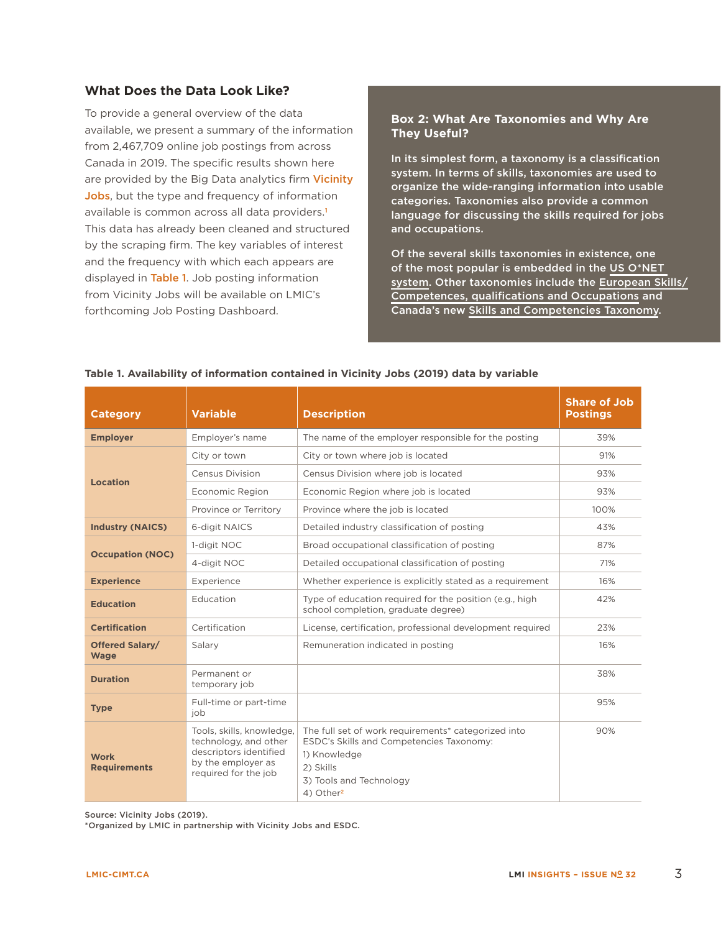# **What Does the Data Look Like?**

To provide a general overview of the data available, we present a summary of the information from 2,467,709 online job postings from across Canada in 2019. The specific results shown here are provided by the Big Data analytics firm [Vicinity](http://www.vicinityjobs.com/) [Jobs](http://www.vicinityjobs.com/), but the type and frequency of information available is common across all data providers.<sup>[1](#page-6-0)</sup> This data has already been cleaned and structured by the scraping firm. The key variables of interest and the frequency with which each appears are displayed in [Table 1](#page-2-1). Job posting information from Vicinity Jobs will be available on LMIC's forthcoming Job Posting Dashboard.

#### <span id="page-2-0"></span>**Box 2: What Are Taxonomies and Why Are They Useful?**

In its simplest form, a taxonomy is a classification system. In terms of skills, taxonomies are used to organize the wide-ranging information into usable categories. Taxonomies also provide a common language for discussing the skills required for jobs and occupations.

Of the several skills taxonomies in existence, one of the most popular is embedded in the [US O\\*NET](https://www.onetonline.org/skills/)  [system](https://www.onetonline.org/skills/). Other taxonomies include the [European Skills/](https://ec.europa.eu/esco/portal/skill) [Competences, qualifications and Occupations](https://ec.europa.eu/esco/portal/skill) and Canada's new [Skills and Competencies Taxonomy](https://noc.esdc.gc.ca/SkillsTaxonomy/SkillsTaxonomyWelcome/4c46af0270524e19a52066b8acf8bc91).

| <b>Category</b>                       | <b>Variable</b>                                                                                                            | <b>Description</b>                                                                                                                                                               | <b>Share of Job</b><br><b>Postings</b> |
|---------------------------------------|----------------------------------------------------------------------------------------------------------------------------|----------------------------------------------------------------------------------------------------------------------------------------------------------------------------------|----------------------------------------|
| <b>Employer</b>                       | Employer's name                                                                                                            | The name of the employer responsible for the posting                                                                                                                             | 39%                                    |
| <b>Location</b>                       | City or town                                                                                                               | City or town where job is located                                                                                                                                                | 91%                                    |
|                                       | <b>Census Division</b>                                                                                                     | Census Division where job is located                                                                                                                                             | 93%                                    |
|                                       | Economic Region                                                                                                            | Economic Region where job is located                                                                                                                                             | 93%                                    |
|                                       | Province or Territory                                                                                                      | Province where the job is located                                                                                                                                                | 100%                                   |
| <b>Industry (NAICS)</b>               | 6-digit NAICS<br>Detailed industry classification of posting                                                               |                                                                                                                                                                                  | 43%                                    |
| <b>Occupation (NOC)</b>               | 1-digit NOC                                                                                                                | Broad occupational classification of posting                                                                                                                                     | 87%                                    |
|                                       | 4-digit NOC                                                                                                                | Detailed occupational classification of posting                                                                                                                                  | 71%                                    |
| <b>Experience</b>                     | Experience                                                                                                                 | Whether experience is explicitly stated as a requirement                                                                                                                         | 16%                                    |
| <b>Education</b>                      | Education                                                                                                                  | Type of education required for the position (e.g., high<br>school completion, graduate degree)                                                                                   | 42%                                    |
| <b>Certification</b>                  | Certification                                                                                                              | License, certification, professional development required                                                                                                                        | 23%                                    |
| <b>Offered Salary/</b><br><b>Wage</b> | Salary                                                                                                                     | Remuneration indicated in posting                                                                                                                                                | 16%                                    |
| <b>Duration</b>                       | Permanent or<br>temporary job                                                                                              |                                                                                                                                                                                  | 38%                                    |
| <b>Type</b>                           | Full-time or part-time<br>job                                                                                              |                                                                                                                                                                                  | 95%                                    |
| <b>Work</b><br><b>Requirements</b>    | Tools, skills, knowledge,<br>technology, and other<br>descriptors identified<br>by the employer as<br>required for the job | The full set of work requirements* categorized into<br>ESDC's Skills and Competencies Taxonomy:<br>1) Knowledge<br>2) Skills<br>3) Tools and Technology<br>4) Other <sup>2</sup> | 90%                                    |

#### <span id="page-2-1"></span>**Table 1. Availability of information contained in Vicinity Jobs (2019) data by variable**

Source: Vicinity Jobs (2019).

\*Organized by LMIC in partnership with Vicinity Jobs and ESDC.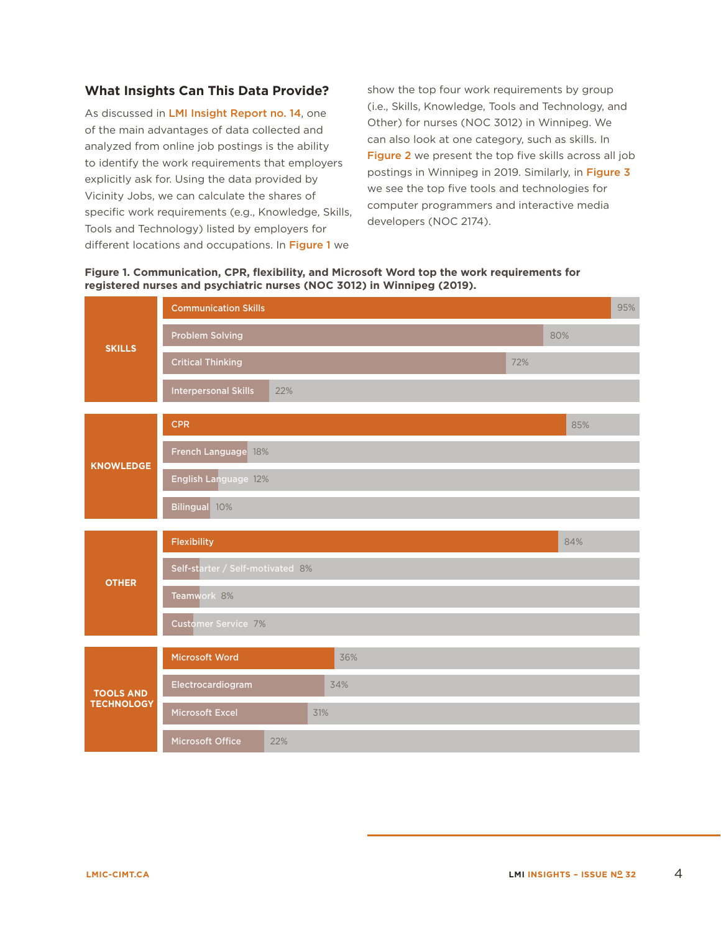## **What Insights Can This Data Provide?**

As discussed in [LMI Insight Report no. 14](https://lmic-cimt.ca/lmi-insights-report-no-14-is-this-a-skill-which-i-see-before-me-the-challenge-of-measuring-skills-shortages/), one of the main advantages of data collected and analyzed from online job postings is the ability to identify the work requirements that employers explicitly ask for. Using the data provided by Vicinity Jobs, we can calculate the shares of specific work requirements (e.g., Knowledge, Skills, Tools and Technology) listed by employers for different locations and occupations. In [Figure 1](#page-3-0) we

show the top four work requirements by group (i.e., Skills, Knowledge, Tools and Technology, and Other) for nurses (NOC 3012) in Winnipeg. We can also look at one category, such as skills. In [Figure 2](#page-4-0) we present the top five skills across all job postings in Winnipeg in 2019. Similarly, in [Figure 3](#page-4-1) we see the top five tools and technologies for computer programmers and interactive media developers (NOC 2174).

<span id="page-3-0"></span>

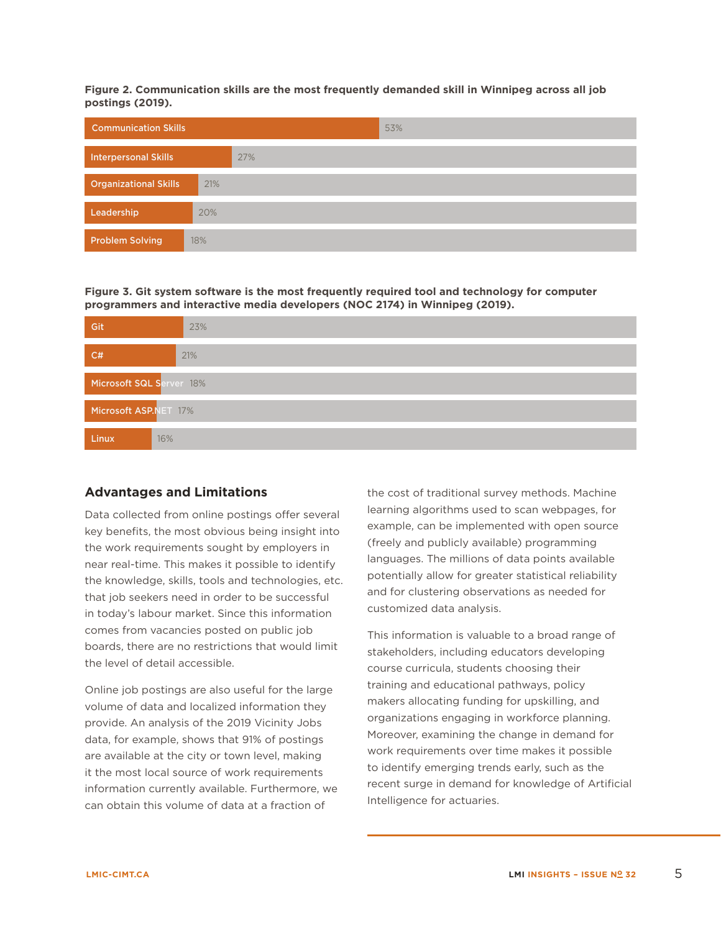<span id="page-4-0"></span>**Figure 2. Communication skills are the most frequently demanded skill in Winnipeg across all job postings (2019).**

| <b>Communication Skills</b>  |     | 53% |
|------------------------------|-----|-----|
| <b>Interpersonal Skills</b>  |     | 27% |
| <b>Organizational Skills</b> | 21% |     |
| Leadership                   | 20% |     |
| <b>Problem Solving</b>       | 18% |     |

<span id="page-4-1"></span>**Figure 3. Git system software is the most frequently required tool and technology for computer programmers and interactive media developers (NOC 2174) in Winnipeg (2019).**

| Git                      | 23% |  |  |  |
|--------------------------|-----|--|--|--|
| C#                       | 21% |  |  |  |
| Microsoft SQL Server 18% |     |  |  |  |
| Microsoft ASP.NET 17%    |     |  |  |  |
| <b>Linux</b>             | 16% |  |  |  |

### **Advantages and Limitations**

Data collected from online postings offer several the work requirements sought by employers in the knowledge, skills, tools and technologies, etc. that job seekers need in order to be successful comes from vacancies posted on public job key benefits, the most obvious being insight into near real-time. This makes it possible to identify in today's labour market. Since this information boards, there are no restrictions that would limit the level of detail accessible.

Online job postings are also useful for the large volume of data and localized information they provide. An analysis of the 2019 Vicinity Jobs data, for example, shows that 91% of postings are available at the city or town level, making it the most local source of work requirements information currently available. Furthermore, we can obtain this volume of data at a fraction of

the cost of traditional survey methods. Machine learning algorithms used to scan webpages, for example, can be implemented with open source (freely and publicly available) programming languages. The millions of data points available potentially allow for greater statistical reliability and for clustering observations as needed for customized data analysis.

This information is valuable to a broad range of stakeholders, including educators developing course curricula, students choosing their training and educational pathways, policy makers allocating funding for upskilling, and organizations engaging in workforce planning. Moreover, examining the change in demand for work requirements over time makes it possible to identify emerging trends early, such as the recent surge in demand for knowledge of Artificial Intelligence for actuaries.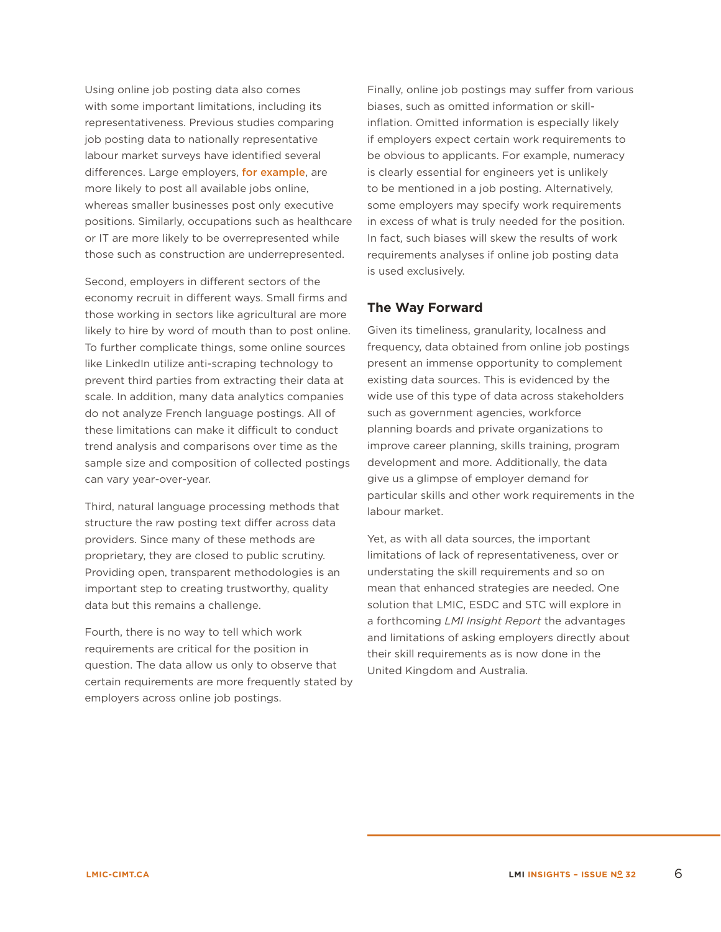Using online job posting data also comes with some important limitations, including its representativeness. Previous studies comparing job posting data to nationally representative labour market surveys have identified several differences. Large employers, [for example](https://jfforg-prod-prime.s3.amazonaws.com/media/documents/Real_Time_Labor_Market_Information.pdf), are more likely to post all available jobs online, whereas smaller businesses post only executive positions. Similarly, occupations such as healthcare or IT are more likely to be overrepresented while those such as construction are underrepresented.

Second, employers in different sectors of the economy recruit in different ways. Small firms and those working in sectors like agricultural are more likely to hire by word of mouth than to post online. To further complicate things, some online sources like LinkedIn utilize anti-scraping technology to prevent third parties from extracting their data at scale. In addition, many data analytics companies do not analyze French language postings. All of these limitations can make it difficult to conduct trend analysis and comparisons over time as the sample size and composition of collected postings can vary year-over-year.

Third, natural language processing methods that structure the raw posting text differ across data providers. Since many of these methods are proprietary, they are closed to public scrutiny. Providing open, transparent methodologies is an important step to creating trustworthy, quality data but this remains a challenge.

Fourth, there is no way to tell which work requirements are critical for the position in question. The data allow us only to observe that certain requirements are more frequently stated by employers across online job postings.

Finally, online job postings may suffer from various biases, such as omitted information or skillinflation. Omitted information is especially likely if employers expect certain work requirements to be obvious to applicants. For example, numeracy is clearly essential for engineers yet is unlikely to be mentioned in a job posting. Alternatively, some employers may specify work requirements in excess of what is truly needed for the position. In fact, such biases will skew the results of work requirements analyses if online job posting data is used exclusively.

# **The Way Forward**

Given its timeliness, granularity, localness and frequency, data obtained from online job postings present an immense opportunity to complement existing data sources. This is evidenced by the wide use of this type of data across stakeholders such as government agencies, workforce planning boards and private organizations to improve career planning, skills training, program development and more. Additionally, the data give us a glimpse of employer demand for particular skills and other work requirements in the labour market.

Yet, as with all data sources, the important limitations of lack of representativeness, over or understating the skill requirements and so on mean that enhanced strategies are needed. One solution that LMIC, ESDC and STC will explore in a forthcoming *LMI Insight Report* the advantages and limitations of asking employers directly about their skill requirements as is now done in the United Kingdom and Australia.